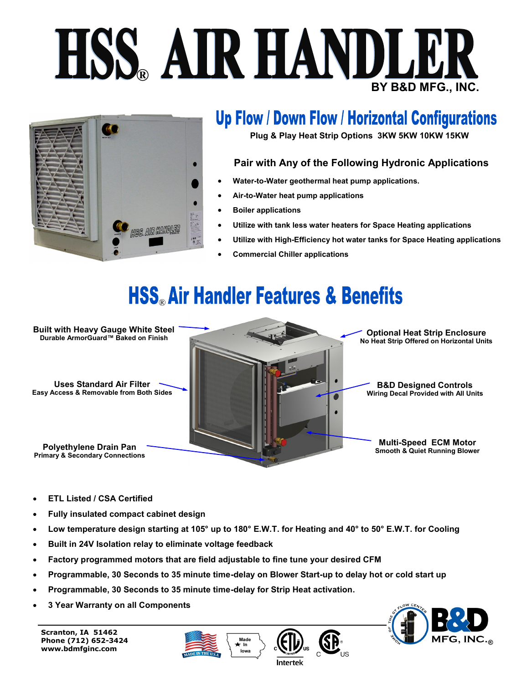# **BY B&D MFG., INC. ESS AIR HANDLER**



### **Up Flow / Down Flow / Horizontal Configurations**

**Plug & Play Heat Strip Options 3KW 5KW 10KW 15KW**

#### **Pair with Any of the Following Hydronic Applications**

- **Water-to-Water geothermal heat pump applications.**
- **Air-to-Water heat pump applications**
- **Boiler applications**
- **Utilize with tank less water heaters for Space Heating applications**
- **Utilize with High-Efficiency hot water tanks for Space Heating applications**
- **Commercial Chiller applications**

# HSS<sub>®</sub> Air Handler Features & Benefits



- **ETL Listed / CSA Certified**
- **Fully insulated compact cabinet design**
- **Low temperature design starting at 105° up to 180° E.W.T. for Heating and 40° to 50° E.W.T. for Cooling**
- **Built in 24V Isolation relay to eliminate voltage feedback**
- **Factory programmed motors that are field adjustable to fine tune your desired CFM**
- **Programmable, 30 Seconds to 35 minute time-delay on Blower Start-up to delay hot or cold start up**
- **Programmable, 30 Seconds to 35 minute time-delay for Strip Heat activation.**
- **3 Year Warranty on all Components**